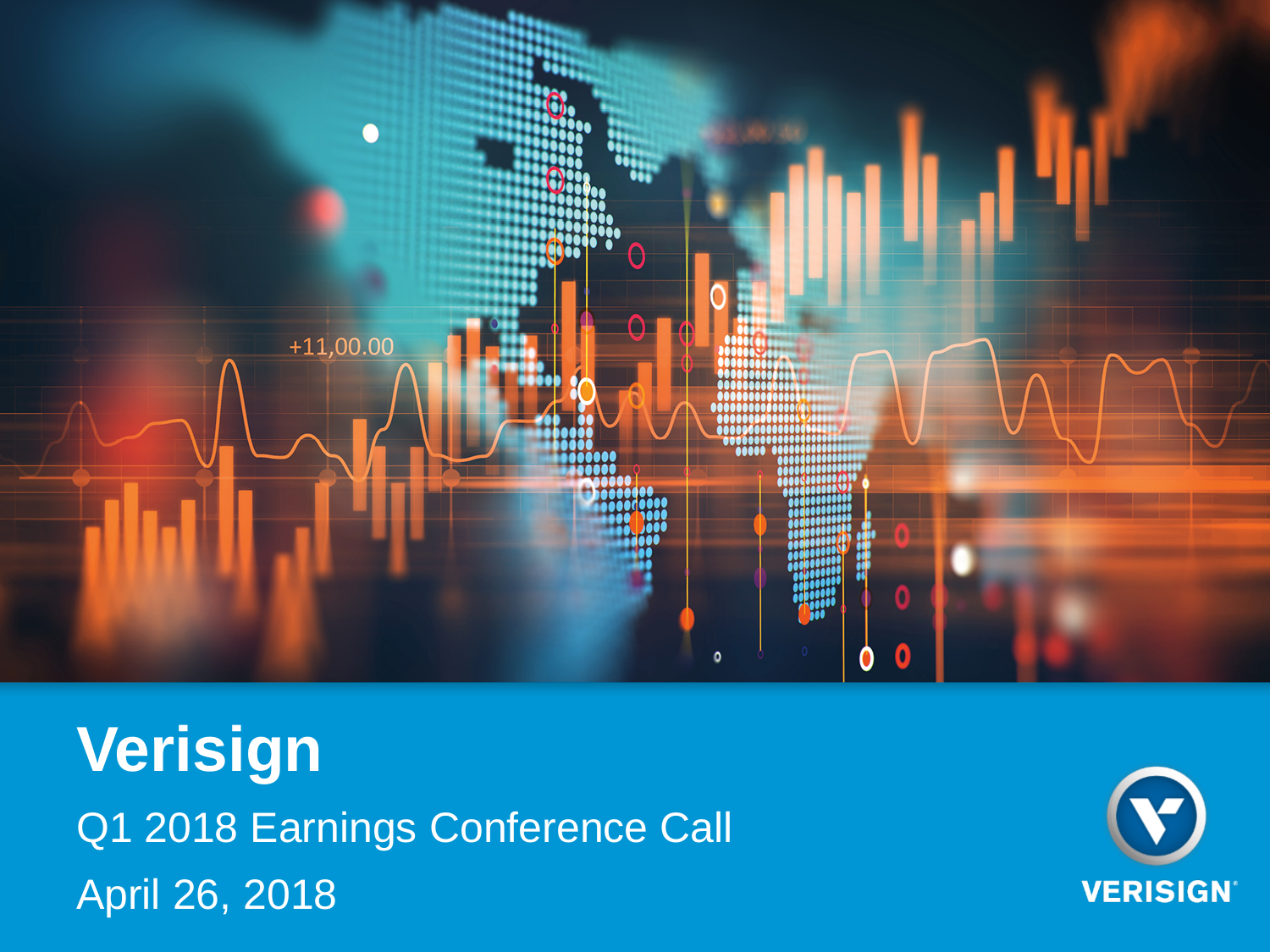

**Verisign** Q1 2018 Earnings Conference Call April 26, 2018

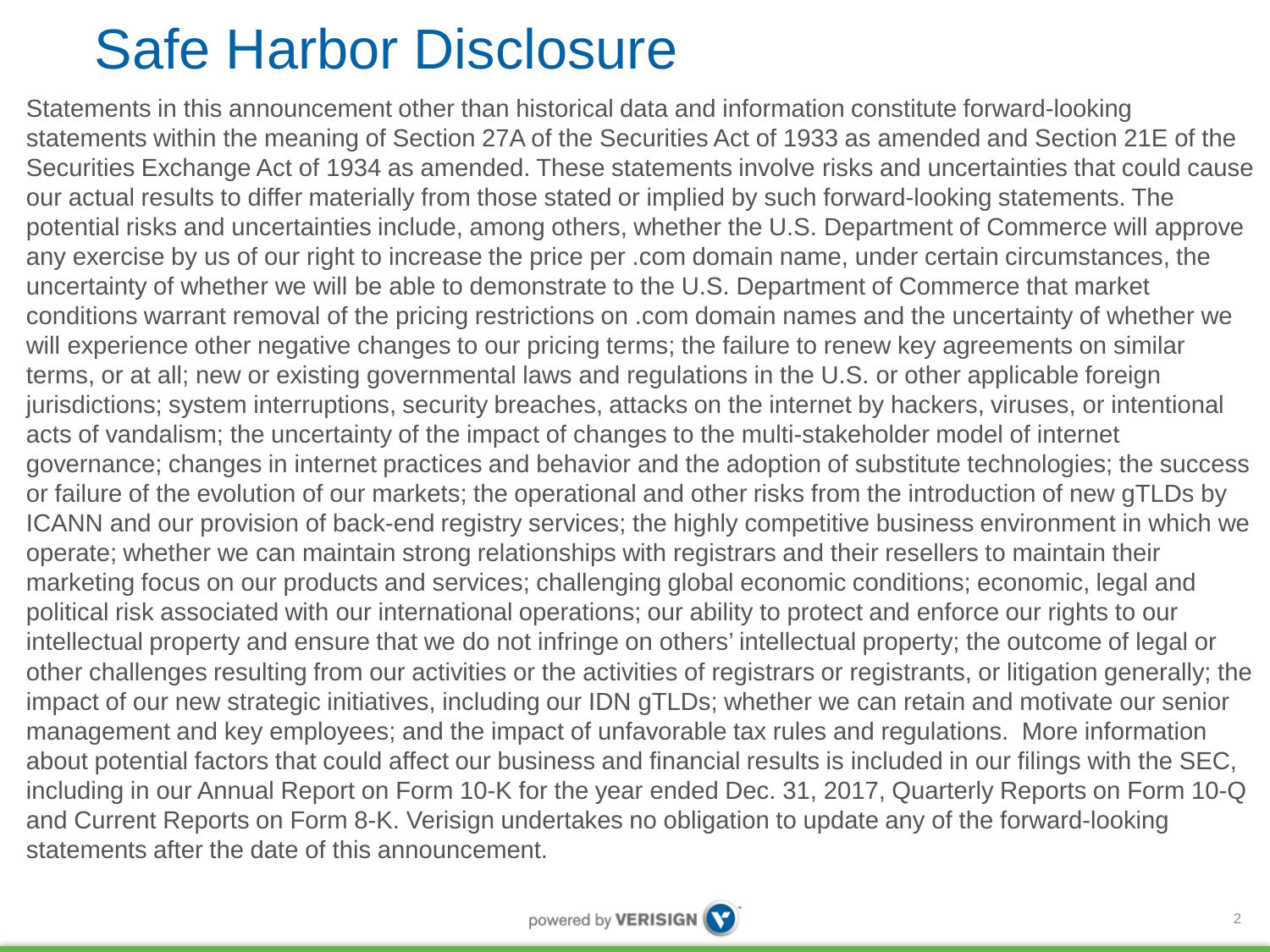## Safe Harbor Disclosure

Statements in this announcement other than historical data and information constitute forward-looking statements within the meaning of Section 27A of the Securities Act of 1933 as amended and Section 21E of the Securities Exchange Act of 1934 as amended. These statements involve risks and uncertainties that could cause our actual results to differ materially from those stated or implied by such forward-looking statements. The potential risks and uncertainties include, among others, whether the U.S. Department of Commerce will approve any exercise by us of our right to increase the price per .com domain name, under certain circumstances, the uncertainty of whether we will be able to demonstrate to the U.S. Department of Commerce that market conditions warrant removal of the pricing restrictions on .com domain names and the uncertainty of whether we will experience other negative changes to our pricing terms; the failure to renew key agreements on similar terms, or at all; new or existing governmental laws and regulations in the U.S. or other applicable foreign jurisdictions; system interruptions, security breaches, attacks on the internet by hackers, viruses, or intentional acts of vandalism; the uncertainty of the impact of changes to the multi-stakeholder model of internet governance; changes in internet practices and behavior and the adoption of substitute technologies; the success or failure of the evolution of our markets; the operational and other risks from the introduction of new gTLDs by ICANN and our provision of back-end registry services; the highly competitive business environment in which we operate; whether we can maintain strong relationships with registrars and their resellers to maintain their marketing focus on our products and services; challenging global economic conditions; economic, legal and political risk associated with our international operations; our ability to protect and enforce our rights to our intellectual property and ensure that we do not infringe on others' intellectual property; the outcome of legal or other challenges resulting from our activities or the activities of registrars or registrants, or litigation generally; the impact of our new strategic initiatives, including our IDN gTLDs; whether we can retain and motivate our senior management and key employees; and the impact of unfavorable tax rules and regulations. More information about potential factors that could affect our business and financial results is included in our filings with the SEC, including in our Annual Report on Form 10-K for the year ended Dec. 31, 2017, Quarterly Reports on Form 10-Q and Current Reports on Form 8-K. Verisign undertakes no obligation to update any of the forward-looking statements after the date of this announcement.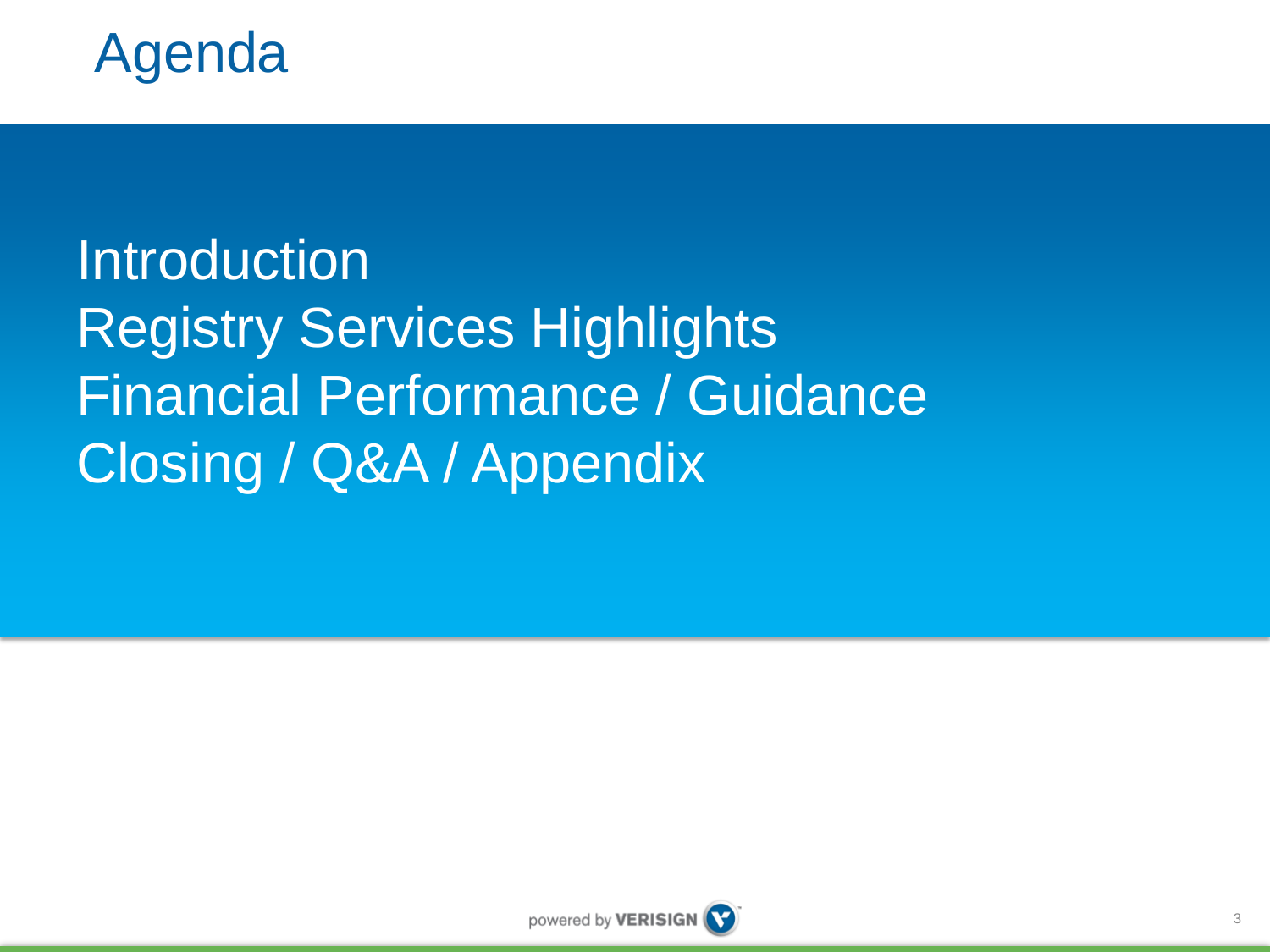Agenda

**Introduction** Registry Services Highlights Financial Performance / Guidance Closing / Q&A / Appendix

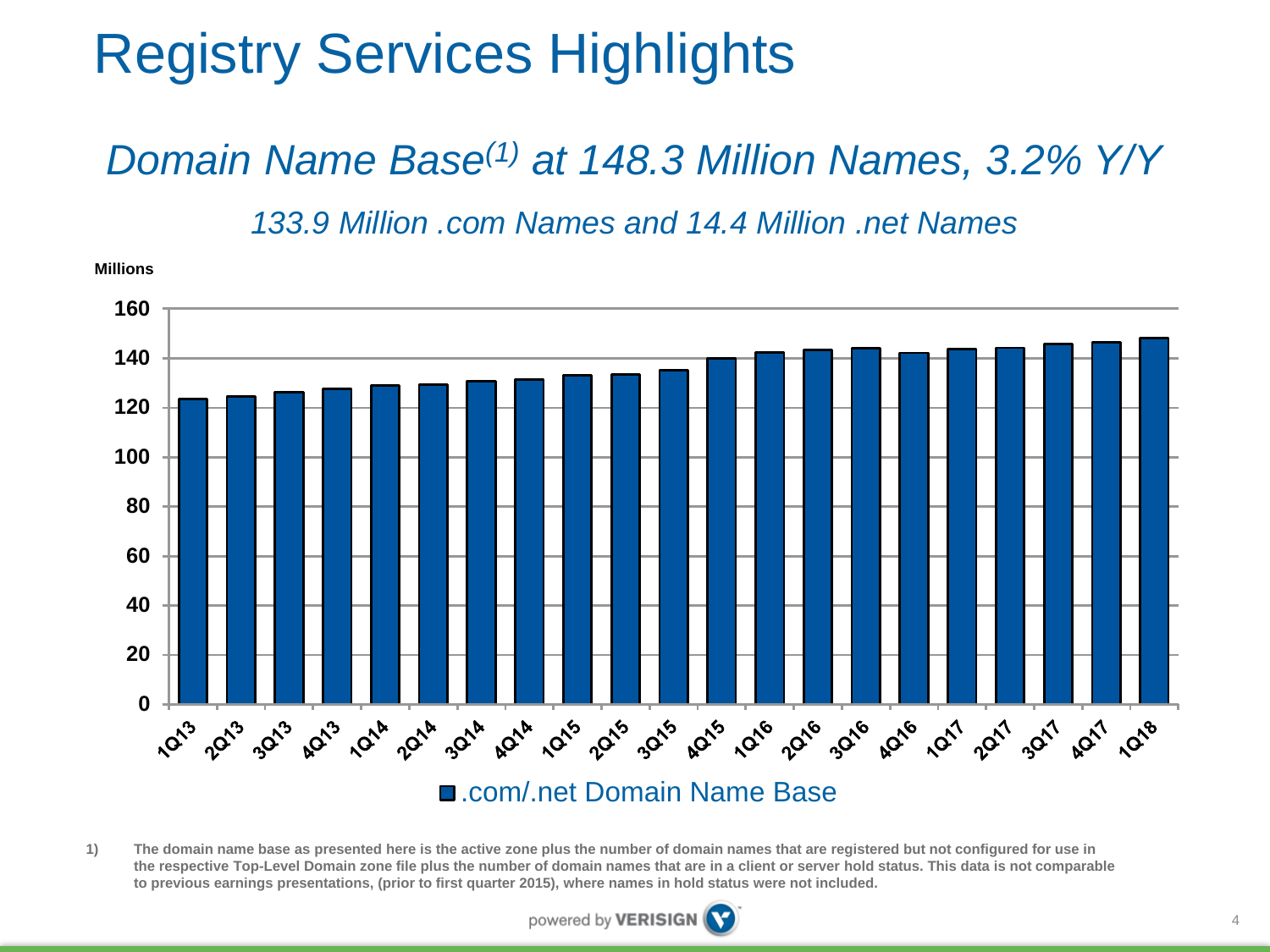## Registry Services Highlights

### *Domain Name Base(1) at 148.3 Million Names, 3.2% Y/Y*

*133.9 Million .com Names and 14.4 Million .net Names*



**1) The domain name base as presented here is the active zone plus the number of domain names that are registered but not configured for use in the respective Top-Level Domain zone file plus the number of domain names that are in a client or server hold status. This data is not comparable to previous earnings presentations, (prior to first quarter 2015), where names in hold status were not included.**

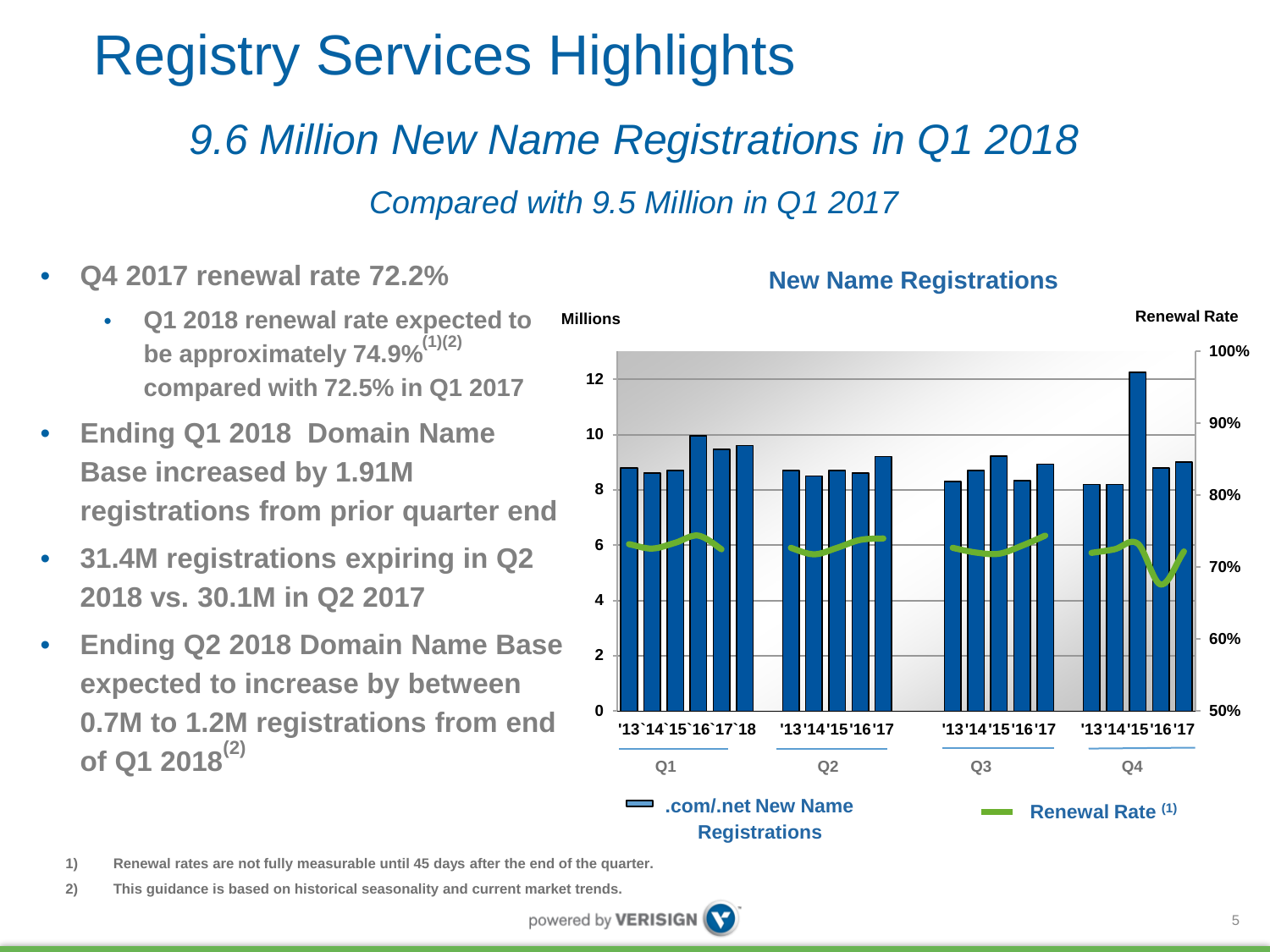## Registry Services Highlights

*9.6 Million New Name Registrations in Q1 2018*

*Compared with 9.5 Million in Q1 2017*

- **Q4 2017 renewal rate 72.2%**
	- **Q1 2018 renewal rate expected to be approximately 74.9%(1)(2) compared with 72.5% in Q1 2017**
- **Ending Q1 2018 Domain Name Base increased by 1.91M registrations from prior quarter end**
- **31.4M registrations expiring in Q2 2018 vs. 30.1M in Q2 2017**
- **Ending Q2 2018 Domain Name Base expected to increase by between 0.7M to 1.2M registrations from end of Q1 2018(2)**



### **New Name Registrations**

**1) Renewal rates are not fully measurable until 45 days after the end of the quarter.**

**2) This guidance is based on historical seasonality and current market trends.**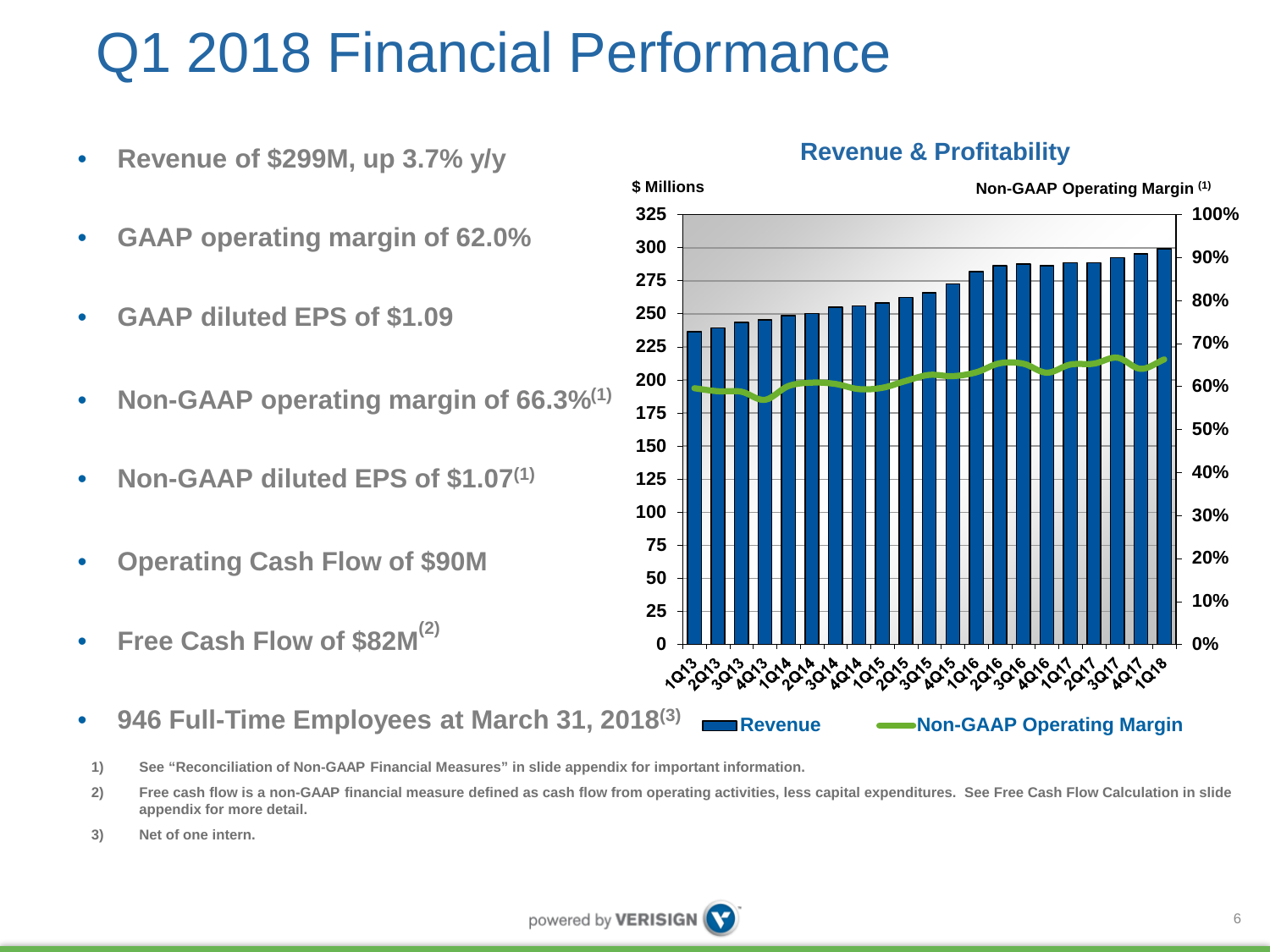## Q1 2018 Financial Performance

- **Revenue of \$299M, up 3.7% y/y**
- **GAAP operating margin of 62.0%**
- **GAAP diluted EPS of \$1.09**
- **Non-GAAP operating margin of 66.3%(1)**
- **Non-GAAP diluted EPS of \$1.07(1)**
- **Operating Cash Flow of \$90M**
- **Free Cash Flow of \$82M(2)**
- **946 Full-Time Employees at March 31, 2018(3)**
- **1) See "Reconciliation of Non-GAAP Financial Measures" in slide appendix for important information.**
- **2) Free cash flow is a non-GAAP financial measure defined as cash flow from operating activities, less capital expenditures. See Free Cash Flow Calculation in slide appendix for more detail.**
- **3) Net of one intern.**



#### **Revenue & Profitability**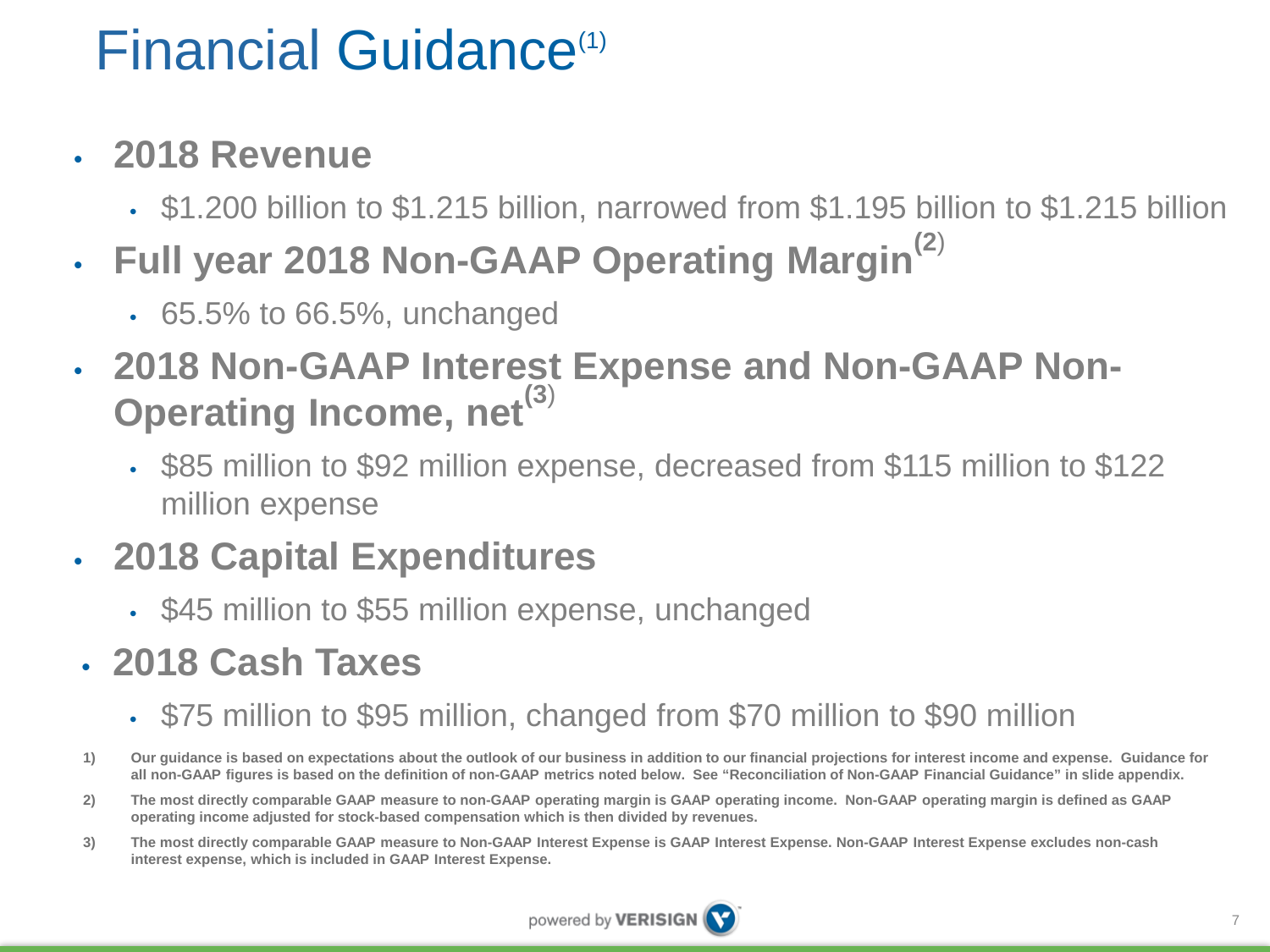## Financial Guidance<sup>(1)</sup>

### • **2018 Revenue**

- \$1.200 billion to \$1.215 billion, narrowed from \$1.195 billion to \$1.215 billion
- **Full year 2018 Non-GAAP Operating Margin(2**)
	- 65.5% to 66.5%, unchanged
- **2018 Non-GAAP Interest Expense and Non-GAAP Non-Operating Income, net**<sup>(3)</sup>
	- \$85 million to \$92 million expense, decreased from \$115 million to \$122 million expense

### • **2018 Capital Expenditures**

- \$45 million to \$55 million expense, unchanged
- **2018 Cash Taxes**
	- \$75 million to \$95 million, changed from \$70 million to \$90 million
- **1) Our guidance is based on expectations about the outlook of our business in addition to our financial projections for interest income and expense. Guidance for all non-GAAP figures is based on the definition of non-GAAP metrics noted below. See "Reconciliation of Non-GAAP Financial Guidance" in slide appendix.**
- **2) The most directly comparable GAAP measure to non-GAAP operating margin is GAAP operating income. Non-GAAP operating margin is defined as GAAP operating income adjusted for stock-based compensation which is then divided by revenues.**
- **3) The most directly comparable GAAP measure to Non-GAAP Interest Expense is GAAP Interest Expense. Non-GAAP Interest Expense excludes non-cash interest expense, which is included in GAAP Interest Expense.**

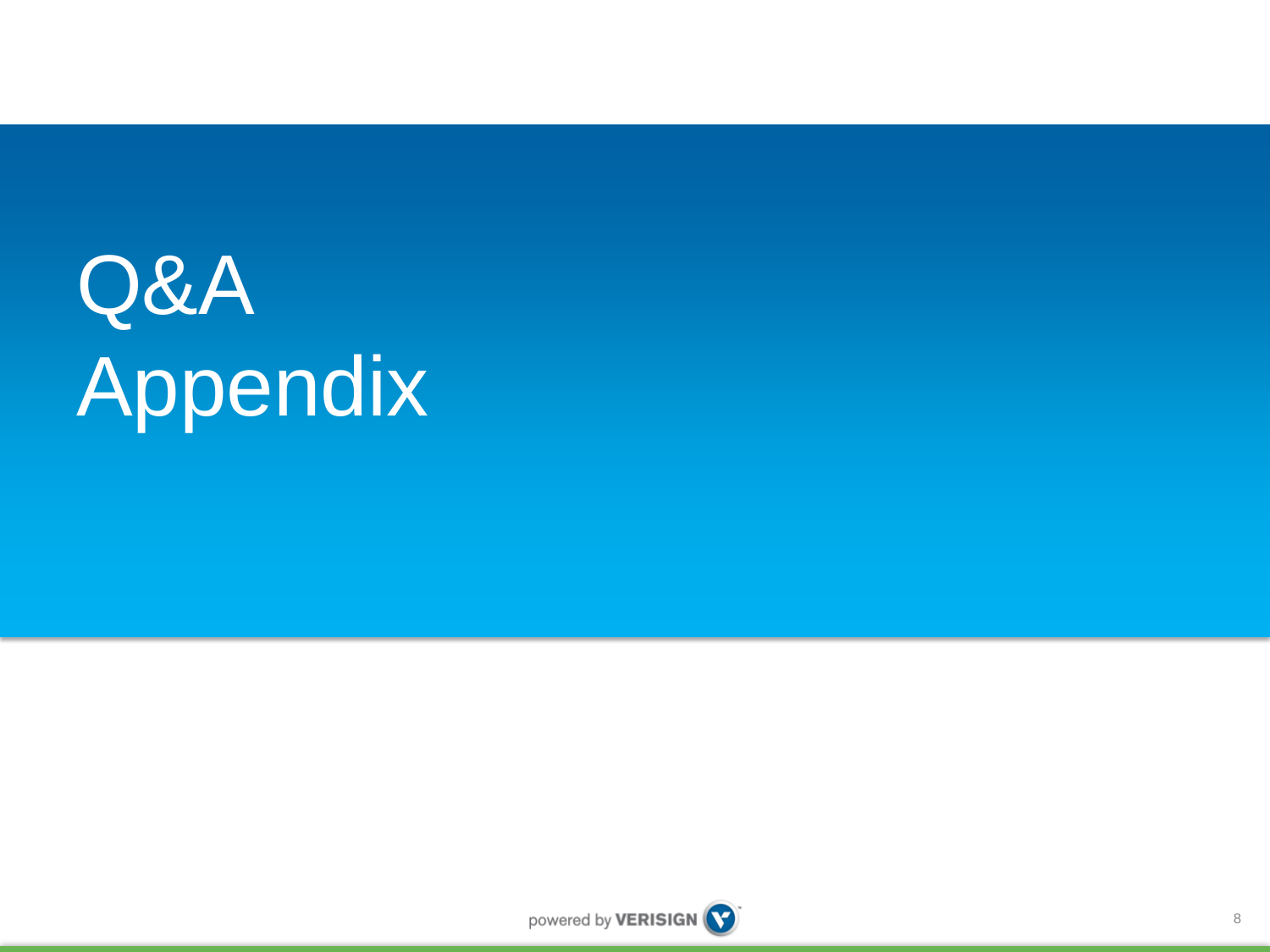# Q&A Appendix

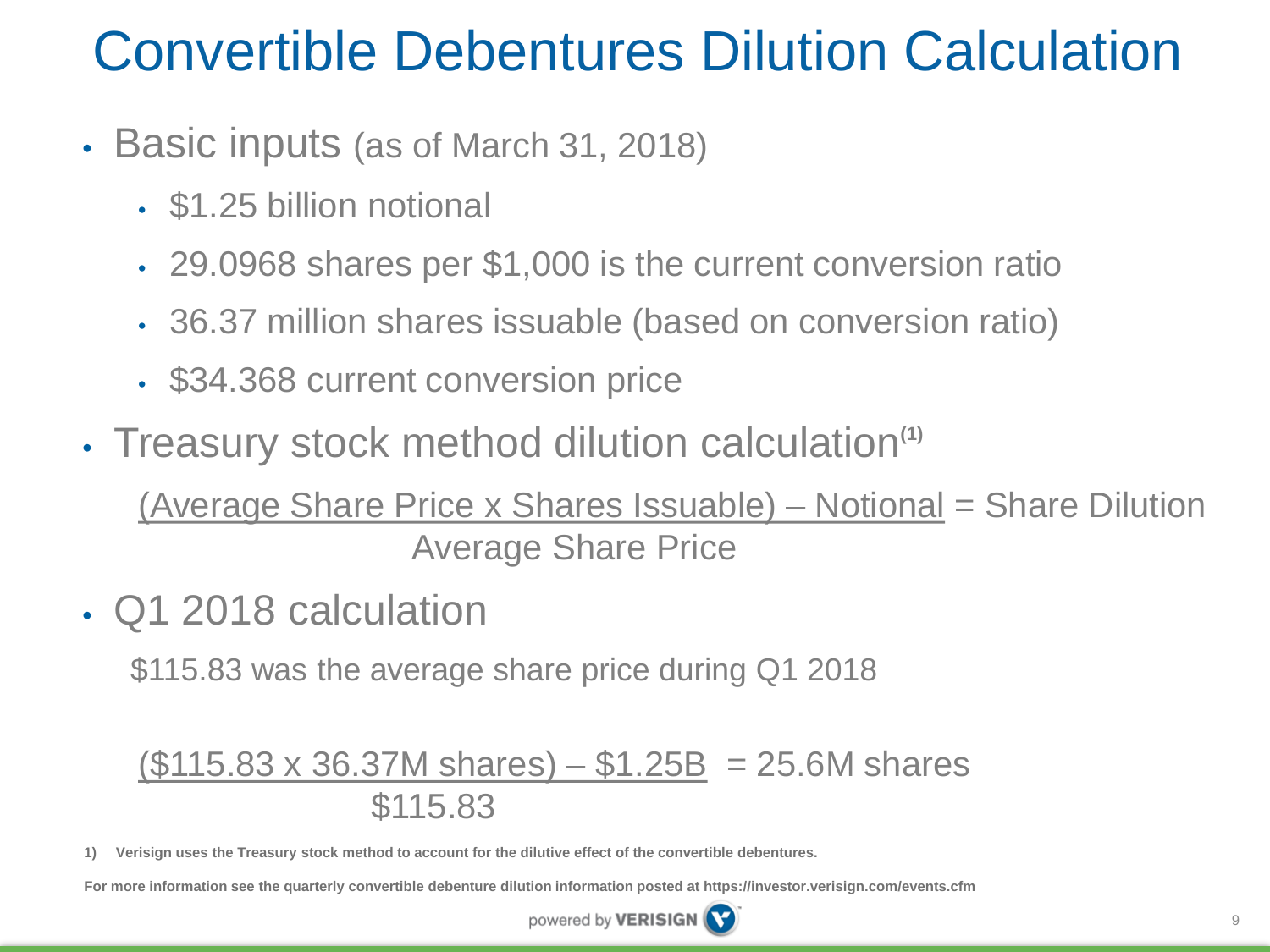## Convertible Debentures Dilution Calculation

- Basic inputs (as of March 31, 2018)
	- \$1.25 billion notional
	- 29.0968 shares per \$1,000 is the current conversion ratio
	- 36.37 million shares issuable (based on conversion ratio)
	- \$34.368 current conversion price
- Treasury stock method dilution calculation**(1)**

(Average Share Price x Shares Issuable) – Notional = Share Dilution Average Share Price

• Q1 2018 calculation

\$115.83 was the average share price during Q1 2018

### $($115.83 \times 36.37M \text{ shares}) - $1.25B = 25.6M \text{ shares}$ \$115.83

**1) Verisign uses the Treasury stock method to account for the dilutive effect of the convertible debentures.**

**For more information see the quarterly convertible debenture dilution information posted at https://investor.verisign.com/events.cfm**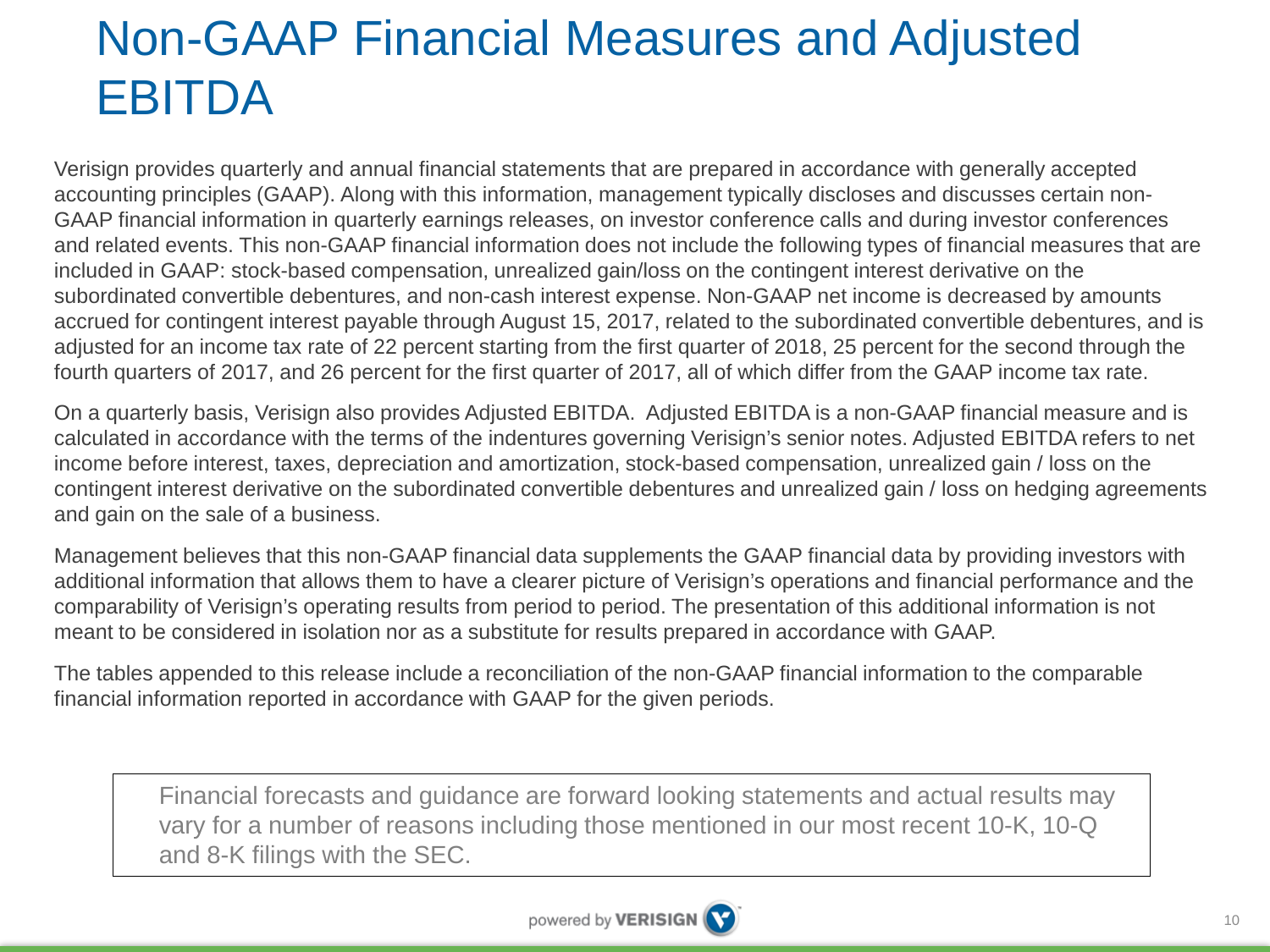### Non-GAAP Financial Measures and Adjusted EBITDA

Verisign provides quarterly and annual financial statements that are prepared in accordance with generally accepted accounting principles (GAAP). Along with this information, management typically discloses and discusses certain non-GAAP financial information in quarterly earnings releases, on investor conference calls and during investor conferences and related events. This non-GAAP financial information does not include the following types of financial measures that are included in GAAP: stock-based compensation, unrealized gain/loss on the contingent interest derivative on the subordinated convertible debentures, and non-cash interest expense. Non-GAAP net income is decreased by amounts accrued for contingent interest payable through August 15, 2017, related to the subordinated convertible debentures, and is adjusted for an income tax rate of 22 percent starting from the first quarter of 2018, 25 percent for the second through the fourth quarters of 2017, and 26 percent for the first quarter of 2017, all of which differ from the GAAP income tax rate.

On a quarterly basis, Verisign also provides Adjusted EBITDA. Adjusted EBITDA is a non-GAAP financial measure and is calculated in accordance with the terms of the indentures governing Verisign's senior notes. Adjusted EBITDA refers to net income before interest, taxes, depreciation and amortization, stock-based compensation, unrealized gain / loss on the contingent interest derivative on the subordinated convertible debentures and unrealized gain / loss on hedging agreements and gain on the sale of a business.

Management believes that this non-GAAP financial data supplements the GAAP financial data by providing investors with additional information that allows them to have a clearer picture of Verisign's operations and financial performance and the comparability of Verisign's operating results from period to period. The presentation of this additional information is not meant to be considered in isolation nor as a substitute for results prepared in accordance with GAAP.

The tables appended to this release include a reconciliation of the non-GAAP financial information to the comparable financial information reported in accordance with GAAP for the given periods.

Financial forecasts and guidance are forward looking statements and actual results may vary for a number of reasons including those mentioned in our most recent 10-K, 10-Q and 8-K filings with the SEC.

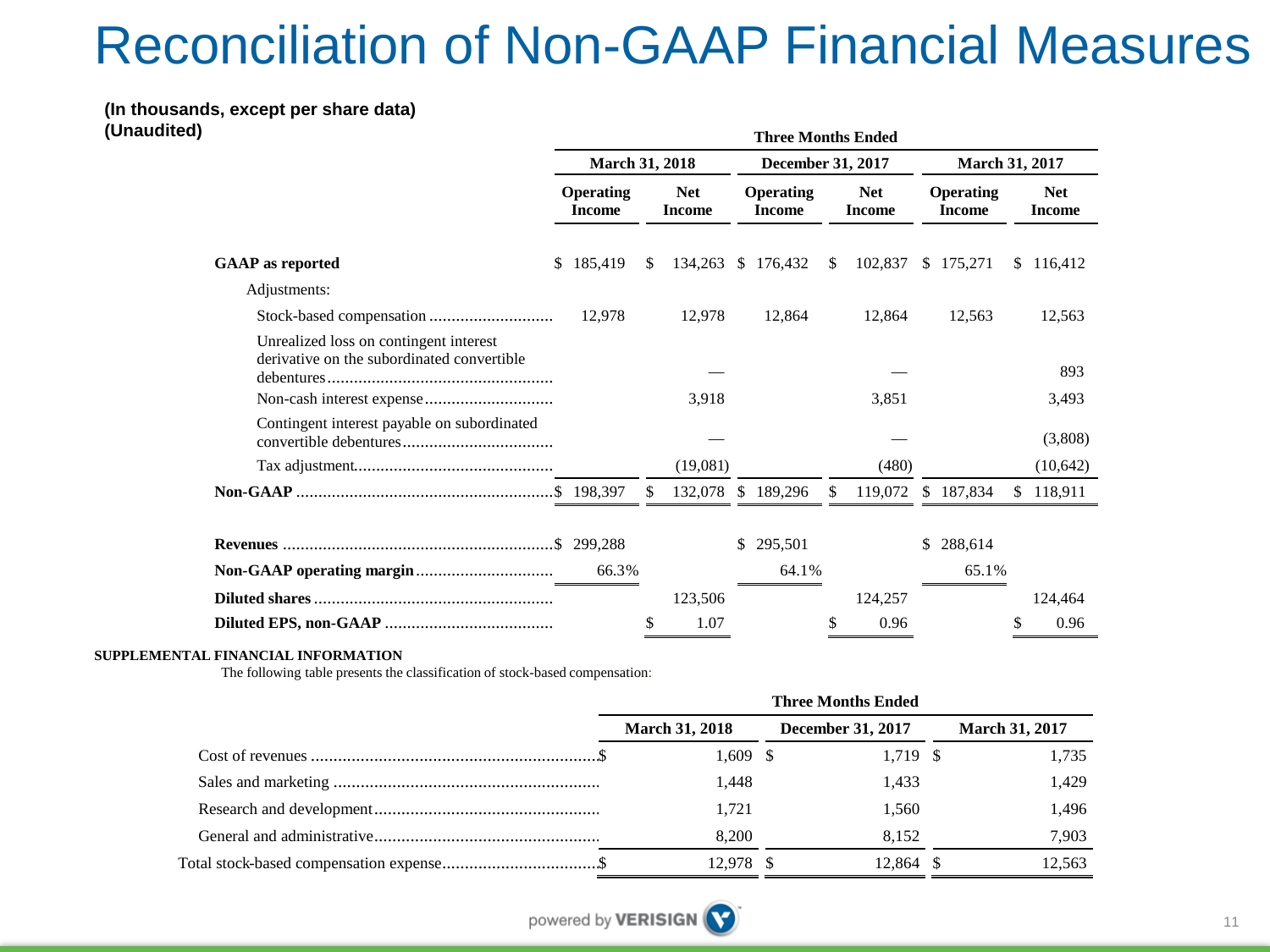### Reconciliation of Non-GAAP Financial Measures

#### **(In thousands, except per share data) (Unaudited)**

|                                                                                      | <b>Three Months Ended</b>         |     |                             |    |                                   |     |                             |                       |                            |    |                             |
|--------------------------------------------------------------------------------------|-----------------------------------|-----|-----------------------------|----|-----------------------------------|-----|-----------------------------|-----------------------|----------------------------|----|-----------------------------|
|                                                                                      | <b>March 31, 2018</b>             |     |                             |    | December 31, 2017                 |     |                             | <b>March 31, 2017</b> |                            |    |                             |
|                                                                                      | <b>Operating</b><br><b>Income</b> |     | <b>Net</b><br><b>Income</b> |    | <b>Operating</b><br><b>Income</b> |     | <b>Net</b><br><b>Income</b> |                       | Operating<br><b>Income</b> |    | <b>Net</b><br><b>Income</b> |
| <b>GAAP</b> as reported                                                              | \$185,419                         | S   | 134,263                     |    | \$176,432                         | -SS | 102,837                     |                       | \$175,271                  |    | \$116,412                   |
| Adjustments:                                                                         |                                   |     |                             |    |                                   |     |                             |                       |                            |    |                             |
|                                                                                      | 12,978                            |     | 12,978                      |    | 12,864                            |     | 12,864                      |                       | 12,563                     |    | 12,563                      |
| Unrealized loss on contingent interest<br>derivative on the subordinated convertible |                                   |     | 3,918                       |    |                                   |     | 3,851                       |                       |                            |    | 893<br>3,493                |
| Contingent interest payable on subordinated                                          |                                   |     |                             |    |                                   |     |                             |                       |                            |    | (3,808)                     |
|                                                                                      |                                   |     | (19,081)                    |    |                                   |     | (480)                       |                       |                            |    | (10,642)                    |
|                                                                                      | \$198,397                         | \$. | 132,078                     | \$ | 189,296                           | £.  | 119,072                     | \$.                   | 187.834                    | \$ | 118,911                     |
|                                                                                      |                                   |     |                             | \$ | 295,501                           |     |                             | \$                    | 288,614                    |    |                             |
|                                                                                      | 66.3%                             |     |                             |    | 64.1%                             |     |                             |                       | 65.1%                      |    |                             |
|                                                                                      |                                   |     | 123,506                     |    |                                   |     | 124,257                     |                       |                            |    | 124,464                     |
|                                                                                      |                                   | \$  | 1.07                        |    |                                   | \$  | 0.96                        |                       |                            | \$ | 0.96                        |

#### **SUPPLEMENTAL FINANCIAL INFORMATION**

The following table presents the classification of stock-based compensation:

| <b>Three Months Ended</b> |                   |                       |  |  |  |
|---------------------------|-------------------|-----------------------|--|--|--|
| <b>March 31, 2018</b>     | December 31, 2017 | <b>March 31, 2017</b> |  |  |  |
| $1,609$ \$                | $1,719$ \$        | 1,735                 |  |  |  |
| 1.448                     | 1.433             | 1.429                 |  |  |  |
| 1.721                     | 1.560             | 1.496                 |  |  |  |
| 8.200                     | 8.152             | 7.903                 |  |  |  |
| 12,978 \$                 | 12.864 \$         | 12.563                |  |  |  |

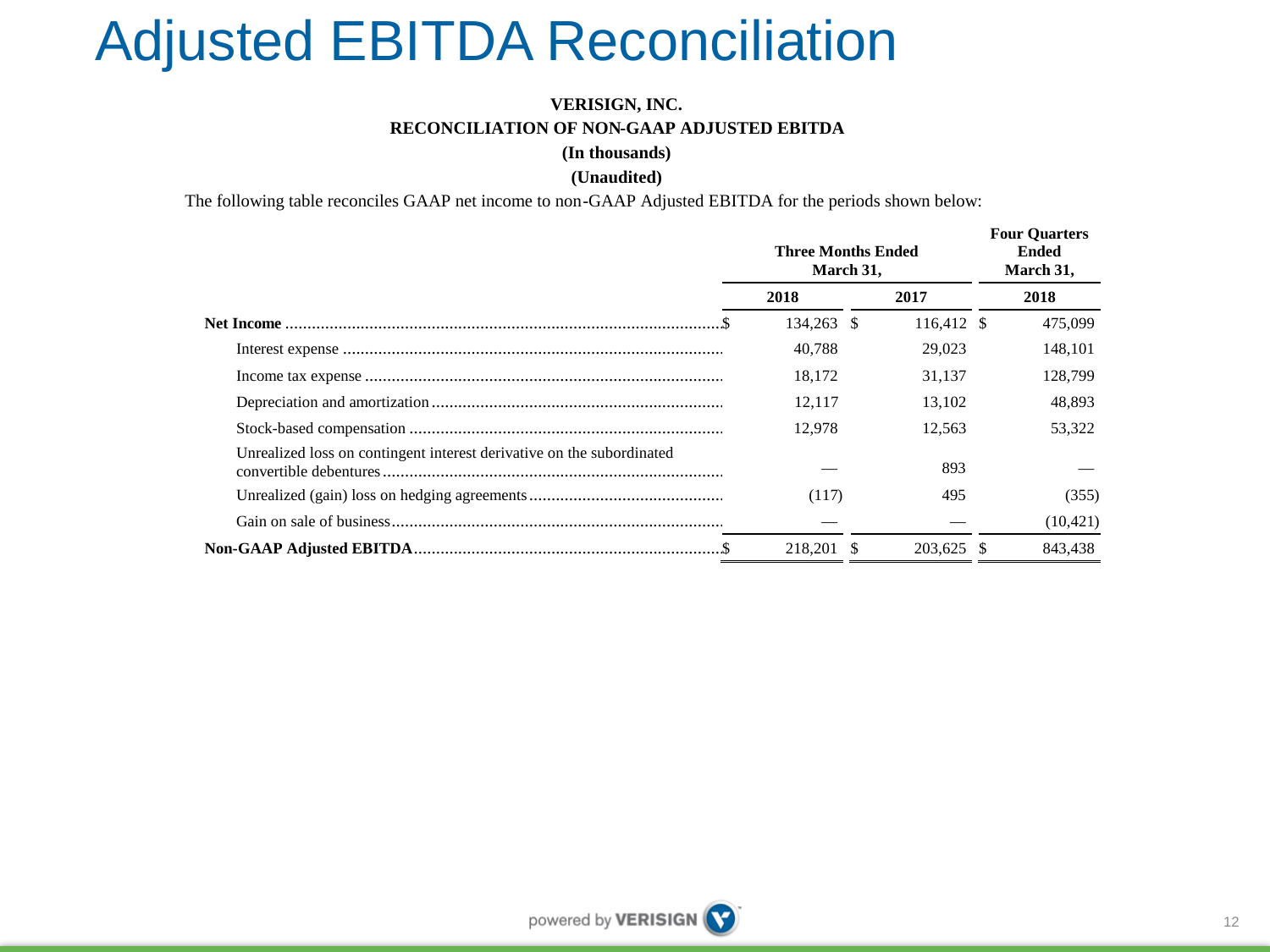### Adjusted EBITDA Reconciliation

#### **VERISIGN, INC. RECONCILIATION OF NON-GAAP ADJUSTED EBITDA**

**(In thousands)**

#### **(Unaudited)**

The following table reconciles GAAP net income to non-GAAP Adjusted EBITDA for the periods shown below:

|                                                                       | <b>Three Months Ended</b><br>March 31, | <b>Four Quarters</b><br>Ended<br>March 31, |           |  |
|-----------------------------------------------------------------------|----------------------------------------|--------------------------------------------|-----------|--|
|                                                                       | 2018<br>2017                           |                                            |           |  |
|                                                                       | 134.263 \$                             | 116.412 \$                                 | 475,099   |  |
|                                                                       | 40.788                                 | 29,023                                     | 148,101   |  |
|                                                                       | 18.172                                 | 31.137                                     | 128,799   |  |
|                                                                       | 12.117                                 | 13.102                                     | 48.893    |  |
|                                                                       | 12.978                                 | 12.563                                     | 53.322    |  |
| Unrealized loss on contingent interest derivative on the subordinated |                                        | 893                                        |           |  |
|                                                                       | (117)                                  | 495                                        | (355)     |  |
|                                                                       |                                        |                                            | (10, 421) |  |
|                                                                       | 218.201 \$                             | 203.625 \$                                 | 843.438   |  |

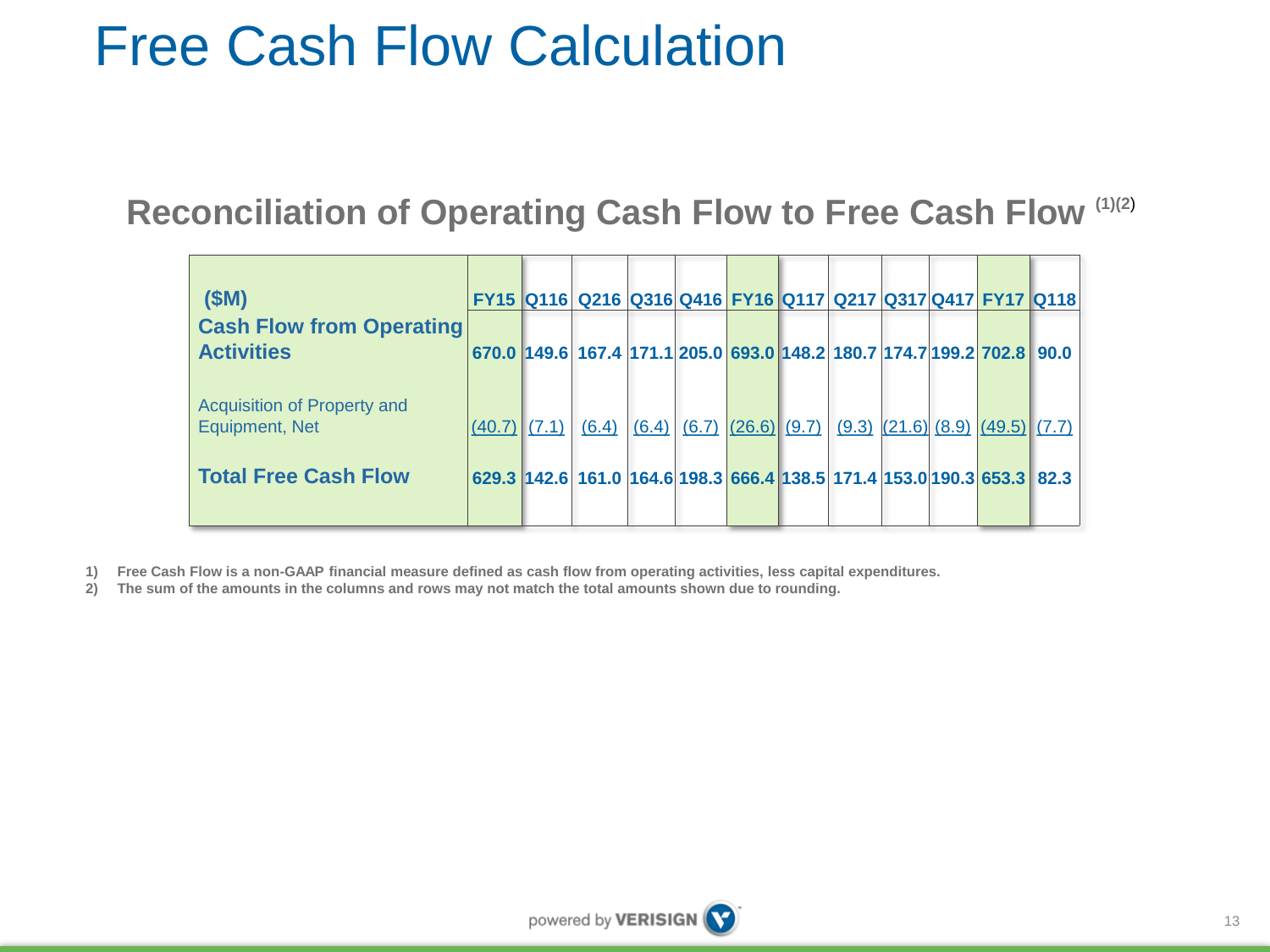### Free Cash Flow Calculation

### **Reconciliation of Operating Cash Flow to Free Cash Flow (1)(2)**

| (SM)<br><b>Cash Flow from Operating</b>       |                  | FY15 Q116 Q216 Q316 Q416 FY16 Q117 Q217 Q317 Q417 FY17 Q118            |  |  |  |                                                                            |  |
|-----------------------------------------------|------------------|------------------------------------------------------------------------|--|--|--|----------------------------------------------------------------------------|--|
| <b>Activities</b>                             |                  | 670.0 149.6 167.4 171.1 205.0 693.0 148.2 180.7 174.7 199.2 702.8 90.0 |  |  |  |                                                                            |  |
| Acquisition of Property and<br>Equipment, Net | $(40.7)$ $(7.1)$ | (6.4)                                                                  |  |  |  | $(6.4)$ $(6.7)$ $(26.6)$ $(9.7)$ $(9.3)$ $(21.6)$ $(8.9)$ $(49.5)$ $(7.7)$ |  |
| <b>Total Free Cash Flow</b>                   |                  | 629.3 142.6 161.0 164.6 198.3 666.4 138.5 171.4 153.0 190.3 653.3 82.3 |  |  |  |                                                                            |  |

- **1) Free Cash Flow is a non-GAAP financial measure defined as cash flow from operating activities, less capital expenditures.**
- **2) The sum of the amounts in the columns and rows may not match the total amounts shown due to rounding.**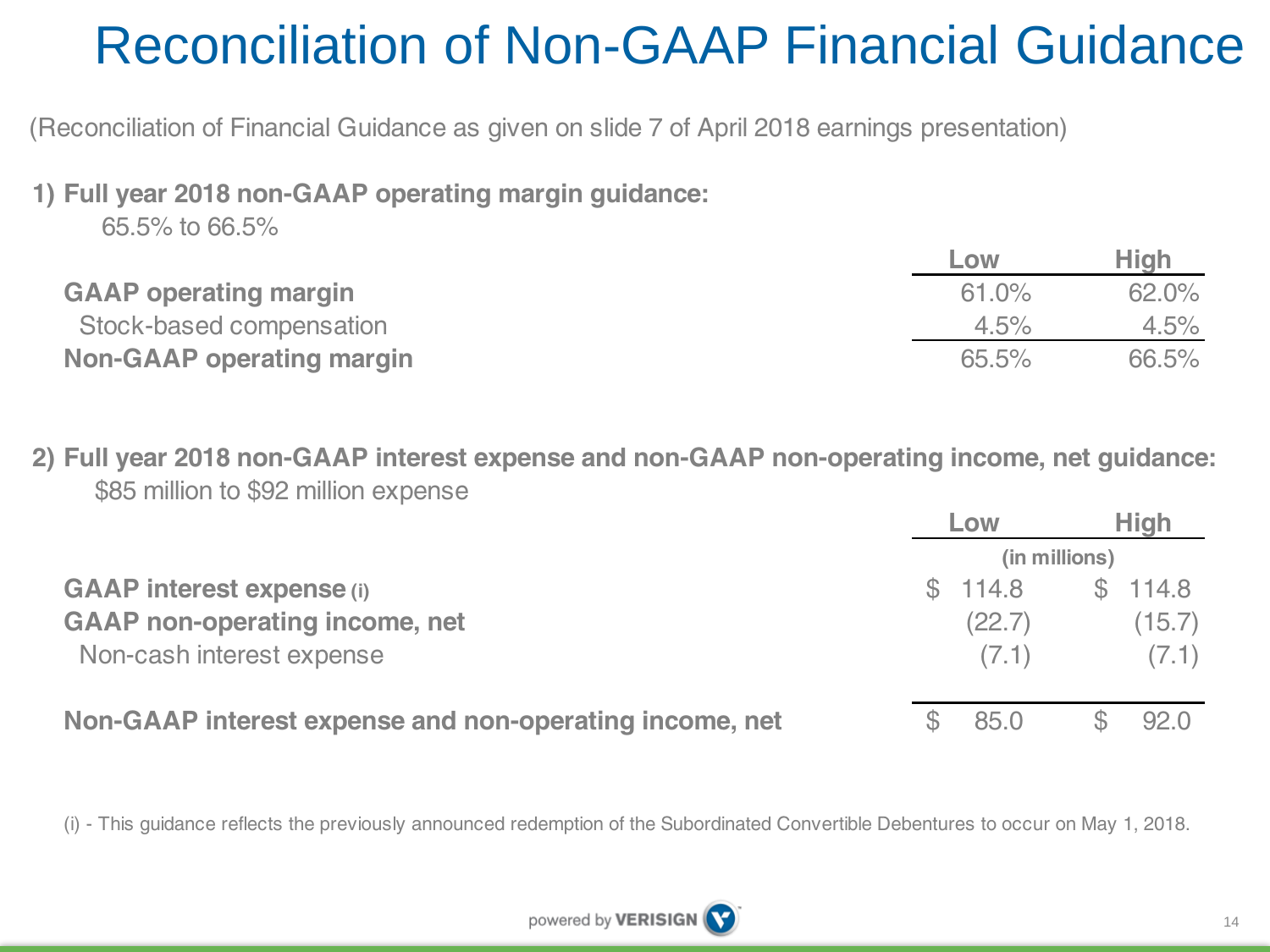### Reconciliation of Non-GAAP Financial Guidance

(Reconciliation of Financial Guidance as given on slide 7 of April 2018 earnings presentation)

**1) Full year 2018 non-GAAP operating margin guidance:** 65.5% to 66.5%

|                                  | Low      | <b>High</b> |
|----------------------------------|----------|-------------|
| <b>GAAP operating margin</b>     | $61.0\%$ | 62.0%       |
| Stock-based compensation         | 4.5%     | $4.5\%$     |
| <b>Non-GAAP operating margin</b> | 65.5%    | 66.5%       |

**2) Full year 2018 non-GAAP interest expense and non-GAAP non-operating income, net guidance:** \$85 million to \$92 million expense

|                                                         | LOW     |               | High                |  |
|---------------------------------------------------------|---------|---------------|---------------------|--|
|                                                         |         | (in millions) |                     |  |
| <b>GAAP interest expense (i)</b>                        | \$114.8 |               | $\frac{1}{2}$ 114.8 |  |
| <b>GAAP non-operating income, net</b>                   | (22.7)  |               | (15.7)              |  |
| Non-cash interest expense                               | (7.1)   |               | (7.1)               |  |
| Non-GAAP interest expense and non-operating income, net | 85.0    |               | 92.0                |  |

(i) - This guidance reflects the previously announced redemption of the Subordinated Convertible Debentures to occur on May 1, 2018.